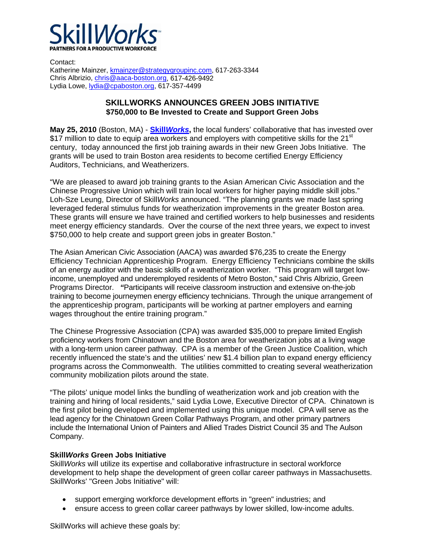

Contact: Katherine Mainzer, kmainzer@strategygroupinc.com, 617-263-3344 Chris Albrizio, chris@aaca-boston.org, 617-426-9492 Lydia Lowe, lydia@cpaboston.org, 617-357-4499

## **SKILLWORKS ANNOUNCES GREEN JOBS INITIATIVE \$750,000 to Be Invested to Create and Support Green Jobs**

**May 25, 2010** (Boston, MA) - **Skill***Works***,** the local funders' collaborative that has invested over \$17 million to date to equip area workers and employers with competitive skills for the 21 $\mathrm{^{st}}$ century, today announced the first job training awards in their new Green Jobs Initiative. The grants will be used to train Boston area residents to become certified Energy Efficiency Auditors, Technicians, and Weatherizers.

"We are pleased to award job training grants to the Asian American Civic Association and the Chinese Progressive Union which will train local workers for higher paying middle skill jobs." Loh-Sze Leung, Director of Skill*Works* announced. "The planning grants we made last spring leveraged federal stimulus funds for weatherization improvements in the greater Boston area. These grants will ensure we have trained and certified workers to help businesses and residents meet energy efficiency standards. Over the course of the next three years, we expect to invest \$750,000 to help create and support green jobs in greater Boston."

The Asian American Civic Association (AACA) was awarded \$76,235 to create the Energy Efficiency Technician Apprenticeship Program. Energy Efficiency Technicians combine the skills of an energy auditor with the basic skills of a weatherization worker. "This program will target lowincome, unemployed and underemployed residents of Metro Boston," said Chris Albrizio, Green Programs Director. *"*Participants will receive classroom instruction and extensive on-the-job training to become journeymen energy efficiency technicians. Through the unique arrangement of the apprenticeship program, participants will be working at partner employers and earning wages throughout the entire training program."

The Chinese Progressive Association (CPA) was awarded \$35,000 to prepare limited English proficiency workers from Chinatown and the Boston area for weatherization jobs at a living wage with a long-term union career pathway. CPA is a member of the Green Justice Coalition, which recently influenced the state's and the utilities' new \$1.4 billion plan to expand energy efficiency programs across the Commonwealth. The utilities committed to creating several weatherization community mobilization pilots around the state.

"The pilots' unique model links the bundling of weatherization work and job creation with the training and hiring of local residents," said Lydia Lowe, Executive Director of CPA. Chinatown is the first pilot being developed and implemented using this unique model. CPA will serve as the lead agency for the Chinatown Green Collar Pathways Program, and other primary partners include the International Union of Painters and Allied Trades District Council 35 and The Aulson Company.

## **Skill***Works* **Green Jobs Initiative**

Skill*Works* will utilize its expertise and collaborative infrastructure in sectoral workforce development to help shape the development of green collar career pathways in Massachusetts. SkillWorks' "Green Jobs Initiative" will:

- support emerging workforce development efforts in "green" industries; and
- ensure access to green collar career pathways by lower skilled, low-income adults.

SkillWorks will achieve these goals by: